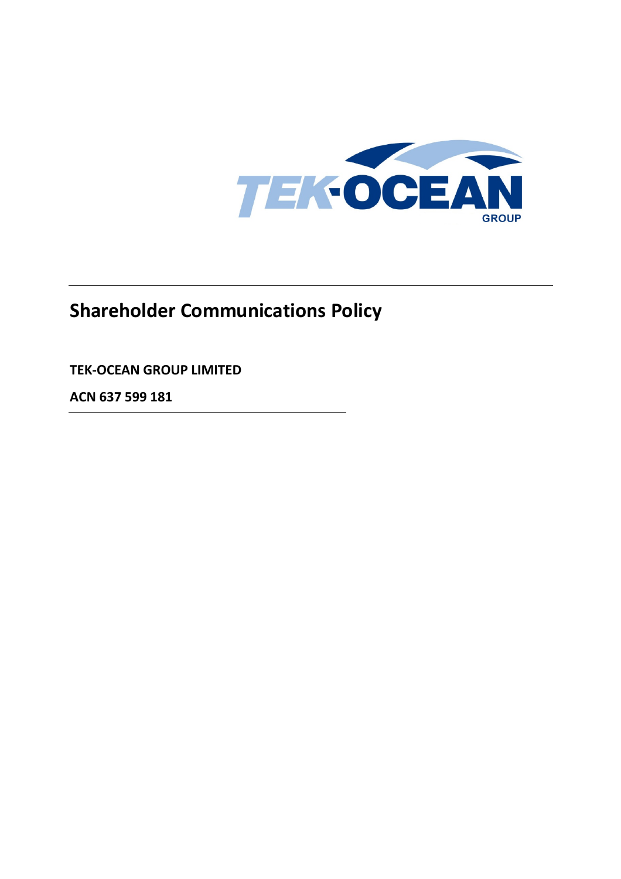

# **Shareholder Communications Policy**

# **TEK-OCEAN GROUP LIMITED**

**ACN 637 599 181**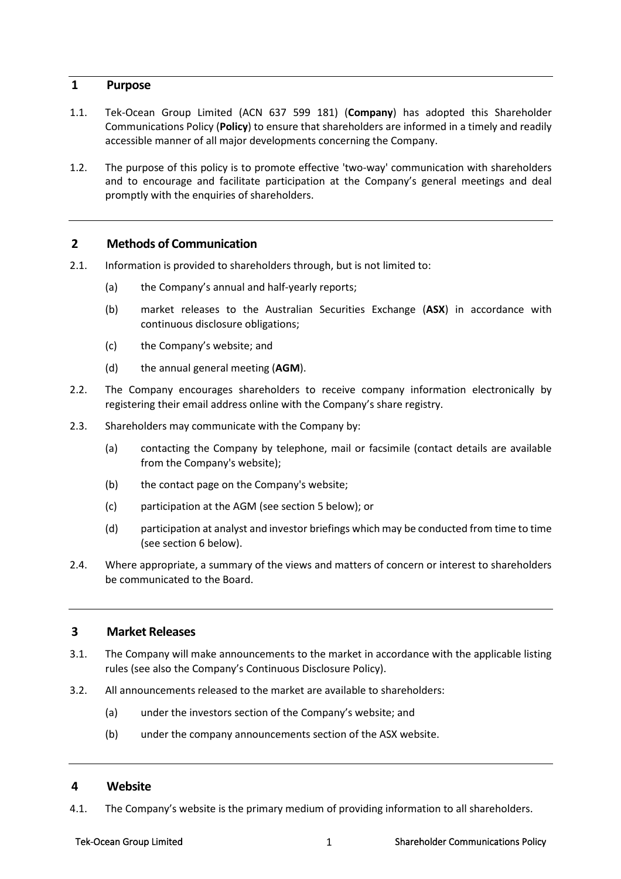### **1 Purpose**

- 1.1. Tek-Ocean Group Limited (ACN 637 599 181) (**Company**) has adopted this Shareholder Communications Policy (**Policy**) to ensure that shareholders are informed in a timely and readily accessible manner of all major developments concerning the Company.
- 1.2. The purpose of this policy is to promote effective 'two-way' communication with shareholders and to encourage and facilitate participation at the Company's general meetings and deal promptly with the enquiries of shareholders.

#### **2 Methods of Communication**

- 2.1. Information is provided to shareholders through, but is not limited to:
	- (a) the Company's annual and half-yearly reports;
	- (b) market releases to the Australian Securities Exchange (**ASX**) in accordance with continuous disclosure obligations;
	- (c) the Company's website; and
	- (d) the annual general meeting (**AGM**).
- 2.2. The Company encourages shareholders to receive company information electronically by registering their email address online with the Company's share registry.
- 2.3. Shareholders may communicate with the Company by:
	- (a) contacting the Company by telephone, mail or facsimile (contact details are available from the Company's website);
	- (b) the contact page on the Company's website;
	- (c) participation at the AGM (see section 5 below); or
	- (d) participation at analyst and investor briefings which may be conducted from time to time (see section 6 below).
- 2.4. Where appropriate, a summary of the views and matters of concern or interest to shareholders be communicated to the Board.

### **3 Market Releases**

- 3.1. The Company will make announcements to the market in accordance with the applicable listing rules (see also the Company's Continuous Disclosure Policy).
- 3.2. All announcements released to the market are available to shareholders:
	- (a) under the investors section of the Company's website; and
	- (b) under the company announcements section of the ASX website.

#### **4 Website**

4.1. The Company's website is the primary medium of providing information to all shareholders.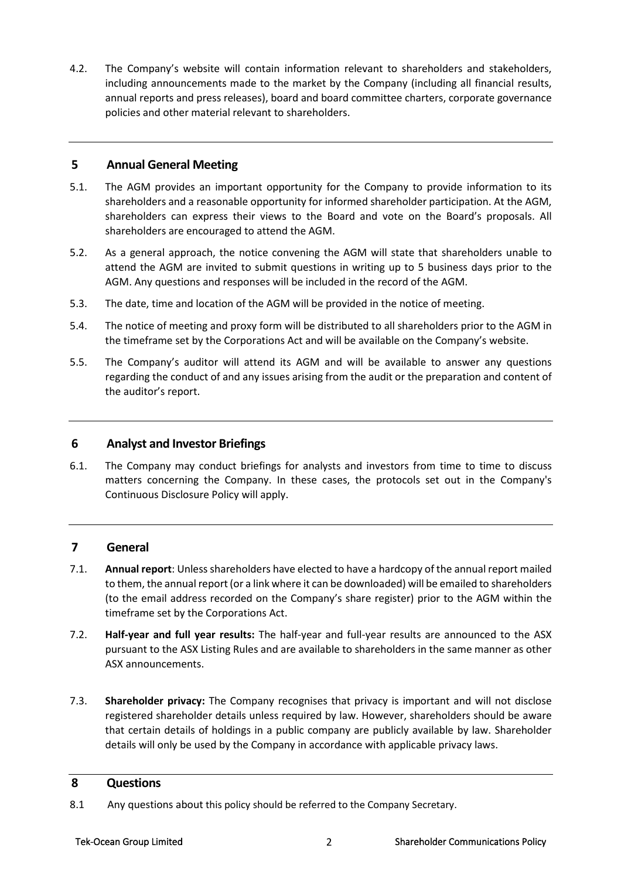4.2. The Company's website will contain information relevant to shareholders and stakeholders, including announcements made to the market by the Company (including all financial results, annual reports and press releases), board and board committee charters, corporate governance policies and other material relevant to shareholders.

# **5 Annual General Meeting**

- 5.1. The AGM provides an important opportunity for the Company to provide information to its shareholders and a reasonable opportunity for informed shareholder participation. At the AGM, shareholders can express their views to the Board and vote on the Board's proposals. All shareholders are encouraged to attend the AGM.
- 5.2. As a general approach, the notice convening the AGM will state that shareholders unable to attend the AGM are invited to submit questions in writing up to 5 business days prior to the AGM. Any questions and responses will be included in the record of the AGM.
- 5.3. The date, time and location of the AGM will be provided in the notice of meeting.
- 5.4. The notice of meeting and proxy form will be distributed to all shareholders prior to the AGM in the timeframe set by the Corporations Act and will be available on the Company's website.
- 5.5. The Company's auditor will attend its AGM and will be available to answer any questions regarding the conduct of and any issues arising from the audit or the preparation and content of the auditor's report.

### **6 Analyst and Investor Briefings**

6.1. The Company may conduct briefings for analysts and investors from time to time to discuss matters concerning the Company. In these cases, the protocols set out in the Company's Continuous Disclosure Policy will apply.

# **7 General**

- 7.1. **Annual report**: Unless shareholders have elected to have a hardcopy of the annual report mailed to them, the annual report (or a link where it can be downloaded) will be emailed to shareholders (to the email address recorded on the Company's share register) prior to the AGM within the timeframe set by the Corporations Act.
- 7.2. **Half-year and full year results:** The half-year and full-year results are announced to the ASX pursuant to the ASX Listing Rules and are available to shareholders in the same manner as other ASX announcements.
- 7.3. **Shareholder privacy:** The Company recognises that privacy is important and will not disclose registered shareholder details unless required by law. However, shareholders should be aware that certain details of holdings in a public company are publicly available by law. Shareholder details will only be used by the Company in accordance with applicable privacy laws.

#### **8 Questions**

8.1 Any questions about this policy should be referred to the Company Secretary.